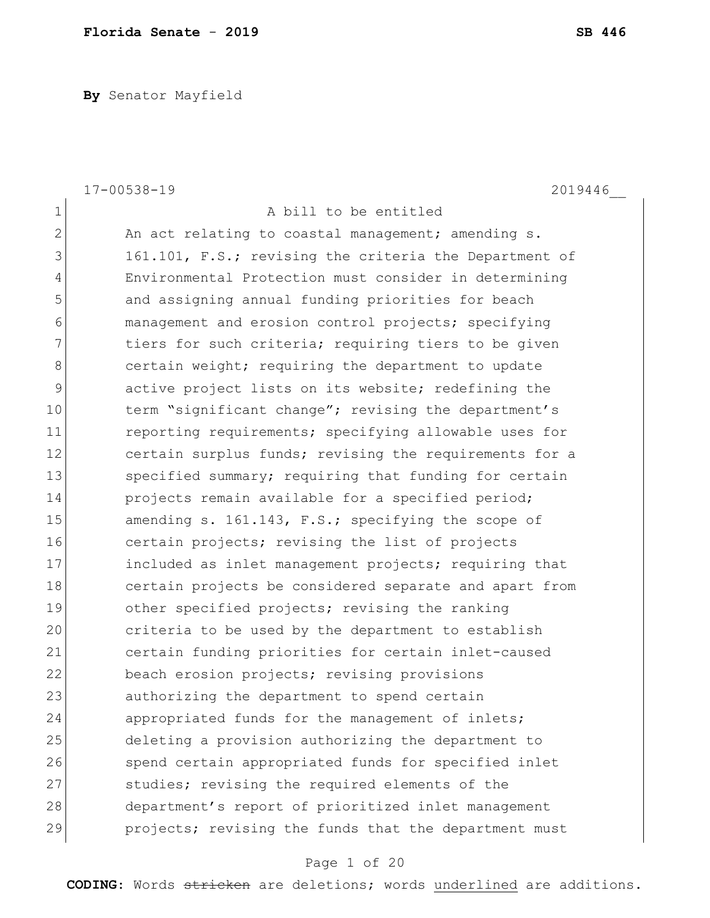**By** Senator Mayfield

|              | $17 - 00538 - 19$<br>2019446                           |
|--------------|--------------------------------------------------------|
| $\mathbf 1$  | A bill to be entitled                                  |
| $\mathbf{2}$ | An act relating to coastal management; amending s.     |
| 3            | 161.101, F.S.; revising the criteria the Department of |
| 4            | Environmental Protection must consider in determining  |
| 5            | and assigning annual funding priorities for beach      |
| 6            | management and erosion control projects; specifying    |
| 7            | tiers for such criteria; requiring tiers to be given   |
| 8            | certain weight; requiring the department to update     |
| 9            | active project lists on its website; redefining the    |
| 10           | term "significant change"; revising the department's   |
| 11           | reporting requirements; specifying allowable uses for  |
| 12           | certain surplus funds; revising the requirements for a |
| 13           | specified summary; requiring that funding for certain  |
| 14           | projects remain available for a specified period;      |
| 15           | amending s. 161.143, F.S.; specifying the scope of     |
| 16           | certain projects; revising the list of projects        |
| 17           | included as inlet management projects; requiring that  |
| 18           | certain projects be considered separate and apart from |
| 19           | other specified projects; revising the ranking         |
| 20           | criteria to be used by the department to establish     |
| 21           | certain funding priorities for certain inlet-caused    |
| 22           | beach erosion projects; revising provisions            |
| 23           | authorizing the department to spend certain            |
| 24           | appropriated funds for the management of inlets;       |
| 25           | deleting a provision authorizing the department to     |
| 26           | spend certain appropriated funds for specified inlet   |
| 27           | studies; revising the required elements of the         |
| 28           | department's report of prioritized inlet management    |
| 29           | projects; revising the funds that the department must  |

# Page 1 of 20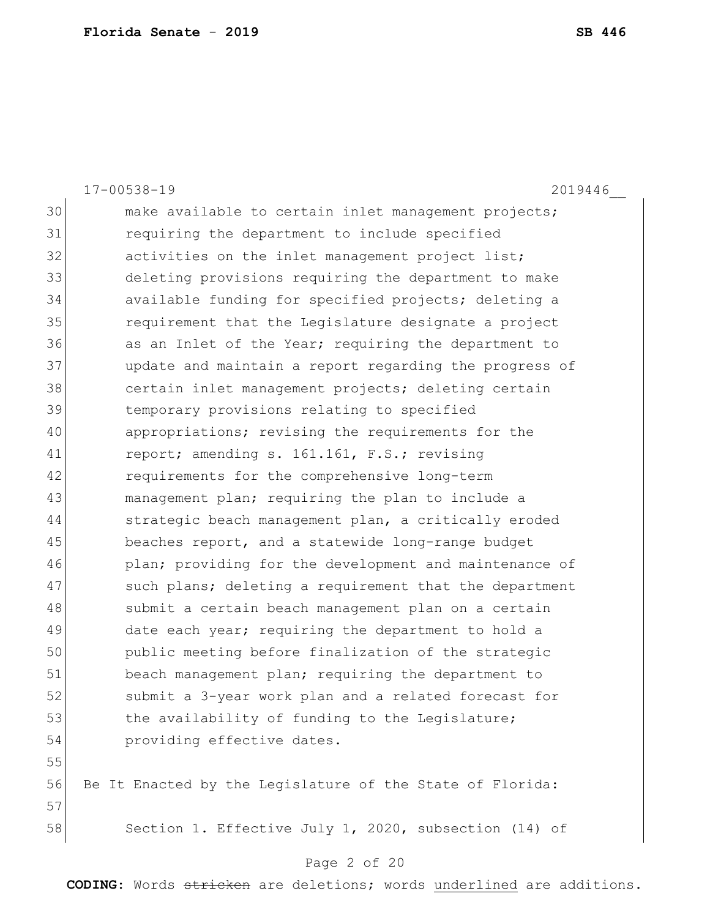|    | $17 - 00538 - 19$<br>2019446                              |
|----|-----------------------------------------------------------|
| 30 | make available to certain inlet management projects;      |
| 31 | requiring the department to include specified             |
| 32 | activities on the inlet management project list;          |
| 33 | deleting provisions requiring the department to make      |
| 34 | available funding for specified projects; deleting a      |
| 35 | requirement that the Legislature designate a project      |
| 36 | as an Inlet of the Year; requiring the department to      |
| 37 | update and maintain a report regarding the progress of    |
| 38 | certain inlet management projects; deleting certain       |
| 39 | temporary provisions relating to specified                |
| 40 | appropriations; revising the requirements for the         |
| 41 | report; amending s. 161.161, F.S.; revising               |
| 42 | requirements for the comprehensive long-term              |
| 43 | management plan; requiring the plan to include a          |
| 44 | strategic beach management plan, a critically eroded      |
| 45 | beaches report, and a statewide long-range budget         |
| 46 | plan; providing for the development and maintenance of    |
| 47 | such plans; deleting a requirement that the department    |
| 48 | submit a certain beach management plan on a certain       |
| 49 | date each year; requiring the department to hold a        |
| 50 | public meeting before finalization of the strategic       |
| 51 | beach management plan; requiring the department to        |
| 52 | submit a 3-year work plan and a related forecast for      |
| 53 | the availability of funding to the Legislature;           |
| 54 | providing effective dates.                                |
| 55 |                                                           |
| 56 | Be It Enacted by the Legislature of the State of Florida: |
| 57 |                                                           |
| 58 | Section 1. Effective July 1, 2020, subsection (14) of     |
|    |                                                           |

#### Page 2 of 20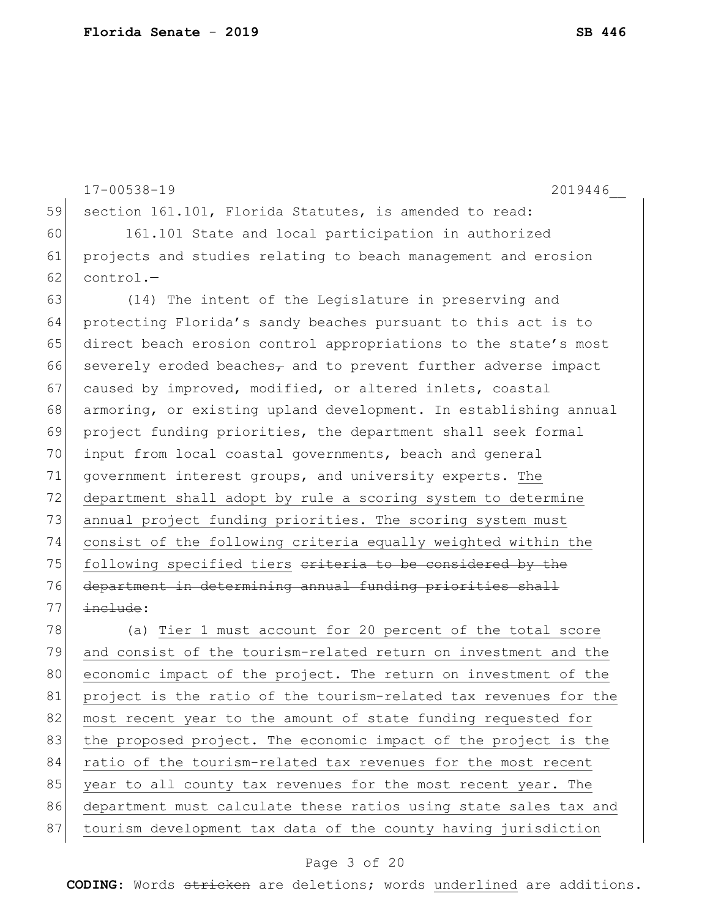17-00538-19 2019446\_\_ 59 section 161.101, Florida Statutes, is amended to read: 60 161.101 State and local participation in authorized 61 projects and studies relating to beach management and erosion  $62$  control.-63 (14) The intent of the Legislature in preserving and 64 protecting Florida's sandy beaches pursuant to this act is to 65 direct beach erosion control appropriations to the state's most 66 severely eroded beaches, and to prevent further adverse impact 67 caused by improved, modified, or altered inlets, coastal 68 armoring, or existing upland development. In establishing annual 69 project funding priorities, the department shall seek formal 70 input from local coastal governments, beach and general 71 government interest groups, and university experts. The 72 department shall adopt by rule a scoring system to determine 73 annual project funding priorities. The scoring system must 74 consist of the following criteria equally weighted within the 75 following specified tiers eriteria to be considered by the 76 department in determining annual funding priorities shall  $77$   $\frac{incluster}{}$ : 78 (a) Tier 1 must account for 20 percent of the total score 79 and consist of the tourism-related return on investment and the 80 economic impact of the project. The return on investment of the 81 project is the ratio of the tourism-related tax revenues for the 82 most recent year to the amount of state funding requested for 83 | the proposed project. The economic impact of the project is the

84 ratio of the tourism-related tax revenues for the most recent 85 year to all county tax revenues for the most recent year. The

86 department must calculate these ratios using state sales tax and

87 tourism development tax data of the county having jurisdiction

#### Page 3 of 20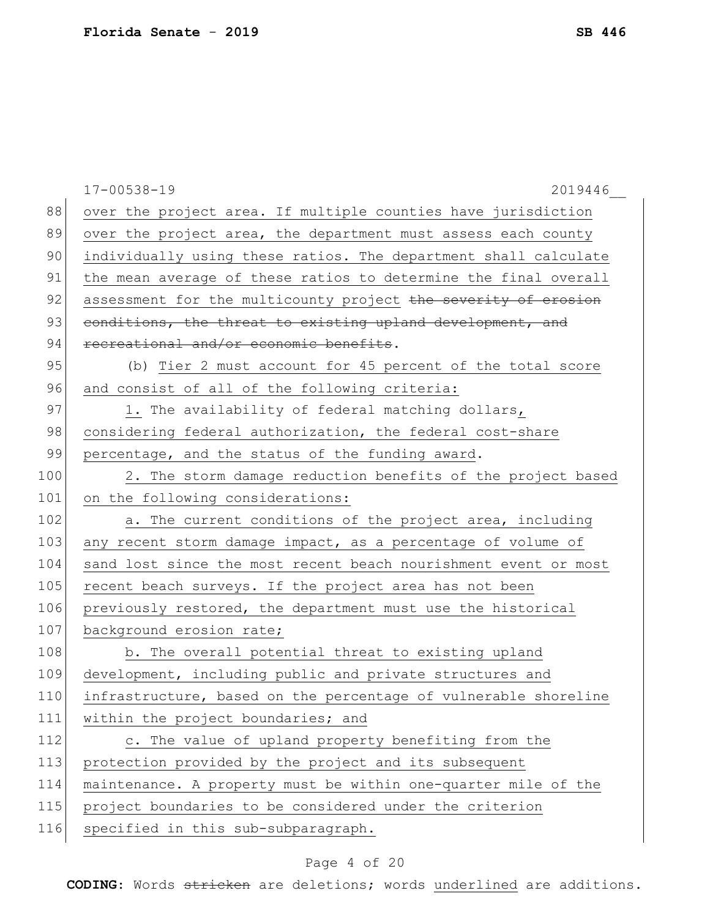|     | $17 - 00538 - 19$<br>2019446                                    |
|-----|-----------------------------------------------------------------|
| 88  | over the project area. If multiple counties have jurisdiction   |
| 89  | over the project area, the department must assess each county   |
| 90  | individually using these ratios. The department shall calculate |
| 91  | the mean average of these ratios to determine the final overall |
| 92  | assessment for the multicounty project the severity of erosion  |
| 93  | conditions, the threat to existing upland development, and      |
| 94  | recreational and/or economic benefits.                          |
| 95  | (b) Tier 2 must account for 45 percent of the total score       |
| 96  | and consist of all of the following criteria:                   |
| 97  | 1. The availability of federal matching dollars,                |
| 98  | considering federal authorization, the federal cost-share       |
| 99  | percentage, and the status of the funding award.                |
| 100 | 2. The storm damage reduction benefits of the project based     |
| 101 | on the following considerations:                                |
| 102 | a. The current conditions of the project area, including        |
| 103 | any recent storm damage impact, as a percentage of volume of    |
| 104 | sand lost since the most recent beach nourishment event or most |
| 105 | recent beach surveys. If the project area has not been          |
| 106 | previously restored, the department must use the historical     |
| 107 | background erosion rate;                                        |
| 108 | b. The overall potential threat to existing upland              |
| 109 | development, including public and private structures and        |
| 110 | infrastructure, based on the percentage of vulnerable shoreline |
| 111 | within the project boundaries; and                              |
| 112 | c. The value of upland property benefiting from the             |
| 113 | protection provided by the project and its subsequent           |
| 114 | maintenance. A property must be within one-quarter mile of the  |
| 115 | project boundaries to be considered under the criterion         |
| 116 | specified in this sub-subparagraph.                             |
|     |                                                                 |

# Page 4 of 20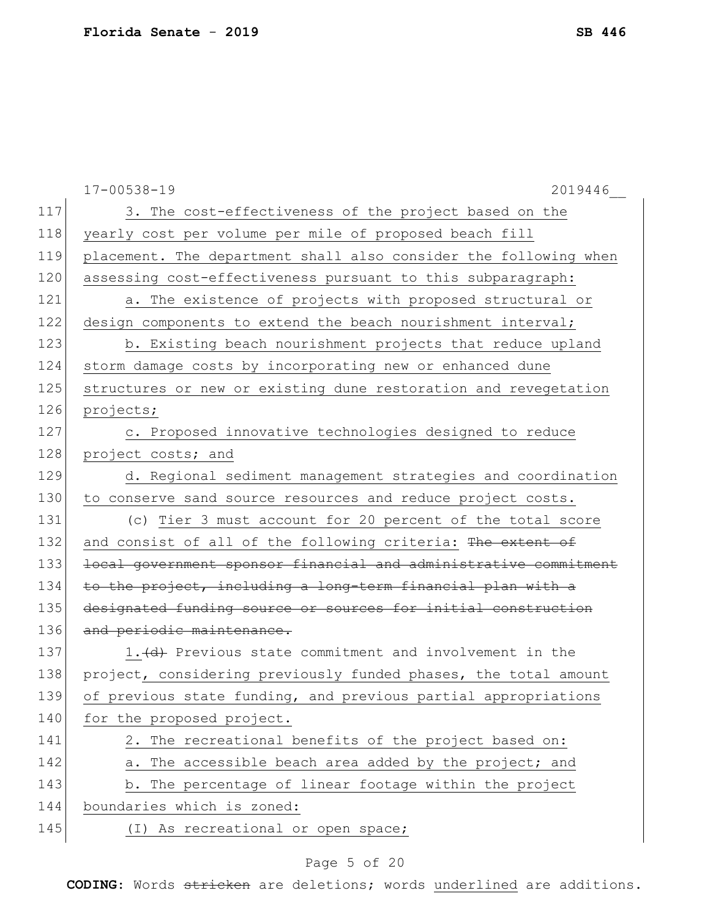|     | $17 - 00538 - 19$<br>2019446                                     |
|-----|------------------------------------------------------------------|
| 117 | 3. The cost-effectiveness of the project based on the            |
| 118 | yearly cost per volume per mile of proposed beach fill           |
| 119 | placement. The department shall also consider the following when |
| 120 | assessing cost-effectiveness pursuant to this subparagraph:      |
| 121 | a. The existence of projects with proposed structural or         |
| 122 | design components to extend the beach nourishment interval;      |
| 123 | b. Existing beach nourishment projects that reduce upland        |
| 124 | storm damage costs by incorporating new or enhanced dune         |
| 125 | structures or new or existing dune restoration and revegetation  |
| 126 | projects;                                                        |
| 127 | c. Proposed innovative technologies designed to reduce           |
| 128 | project costs; and                                               |
| 129 | d. Regional sediment management strategies and coordination      |
| 130 | to conserve sand source resources and reduce project costs.      |
| 131 | (c) Tier 3 must account for 20 percent of the total score        |
| 132 | and consist of all of the following criteria: The extent of      |
| 133 | local government sponsor financial and administrative commitment |
| 134 | to the project, including a long-term financial plan with a      |
| 135 | designated funding source or sources for initial construction    |
| 136 | and periodic maintenance.                                        |
| 137 | 1. (d) Previous state commitment and involvement in the          |
| 138 | project, considering previously funded phases, the total amount  |
| 139 | of previous state funding, and previous partial appropriations   |
| 140 | for the proposed project.                                        |
| 141 | 2. The recreational benefits of the project based on:            |
| 142 | a. The accessible beach area added by the project; and           |
| 143 | b. The percentage of linear footage within the project           |
| 144 | boundaries which is zoned:                                       |
| 145 | (I) As recreational or open space;                               |

# Page 5 of 20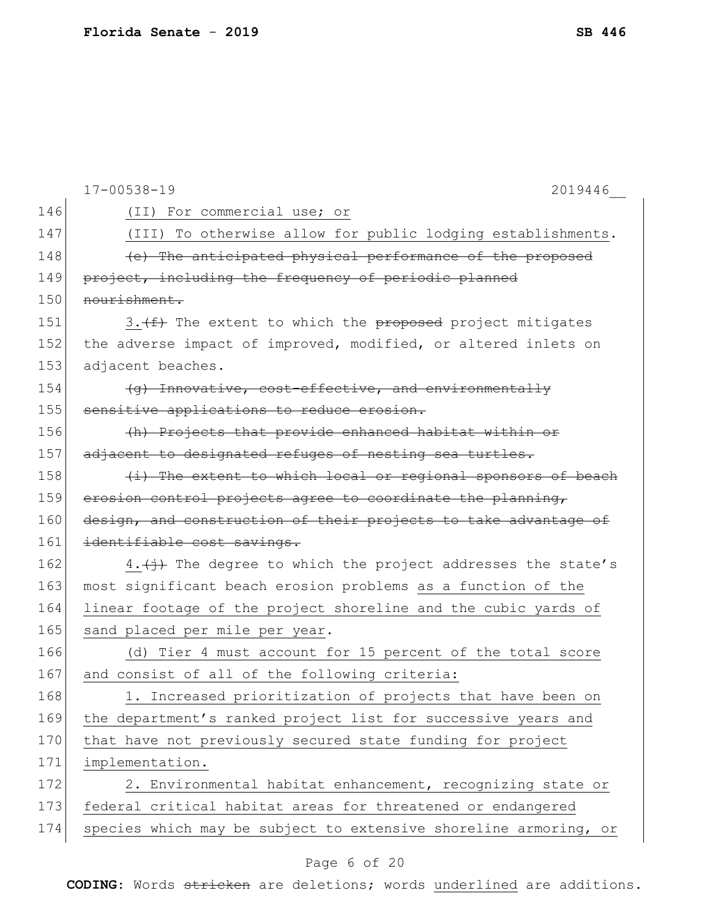|     | $17 - 00538 - 19$<br>2019446                                                       |
|-----|------------------------------------------------------------------------------------|
| 146 | (II) For commercial use; or                                                        |
| 147 | (III) To otherwise allow for public lodging establishments.                        |
| 148 | (e) The anticipated physical performance of the proposed                           |
| 149 | project, including the frequency of periodic planned                               |
| 150 | nourishment.                                                                       |
| 151 | $3. \leftarrow \leftarrow$ The extent to which the proposed project mitigates      |
| 152 | the adverse impact of improved, modified, or altered inlets on                     |
| 153 | adjacent beaches.                                                                  |
| 154 | (g) Innovative, cost-effective, and environmentally                                |
| 155 | sensitive applications to reduce erosion.                                          |
| 156 | (h) Projects that provide enhanced habitat within or                               |
| 157 | adjacent to designated refuges of nesting sea turtles.                             |
| 158 | (i) The extent to which local or regional sponsors of beach                        |
| 159 | erosion control projects agree to coordinate the planning,                         |
| 160 | design, and construction of their projects to take advantage of                    |
| 161 | identifiable cost savings.                                                         |
| 162 | $4.\left(\frac{1}{1}\right)$ The degree to which the project addresses the state's |
| 163 | most significant beach erosion problems as a function of the                       |
| 164 | linear footage of the project shoreline and the cubic yards of                     |
| 165 | sand placed per mile per year.                                                     |
| 166 | (d) Tier 4 must account for 15 percent of the total score                          |
| 167 | and consist of all of the following criteria:                                      |
| 168 | 1. Increased prioritization of projects that have been on                          |
| 169 | the department's ranked project list for successive years and                      |
| 170 | that have not previously secured state funding for project                         |
| 171 | implementation.                                                                    |
| 172 | 2. Environmental habitat enhancement, recognizing state or                         |
| 173 | federal critical habitat areas for threatened or endangered                        |
| 174 | species which may be subject to extensive shoreline armoring, or                   |
|     |                                                                                    |

# Page 6 of 20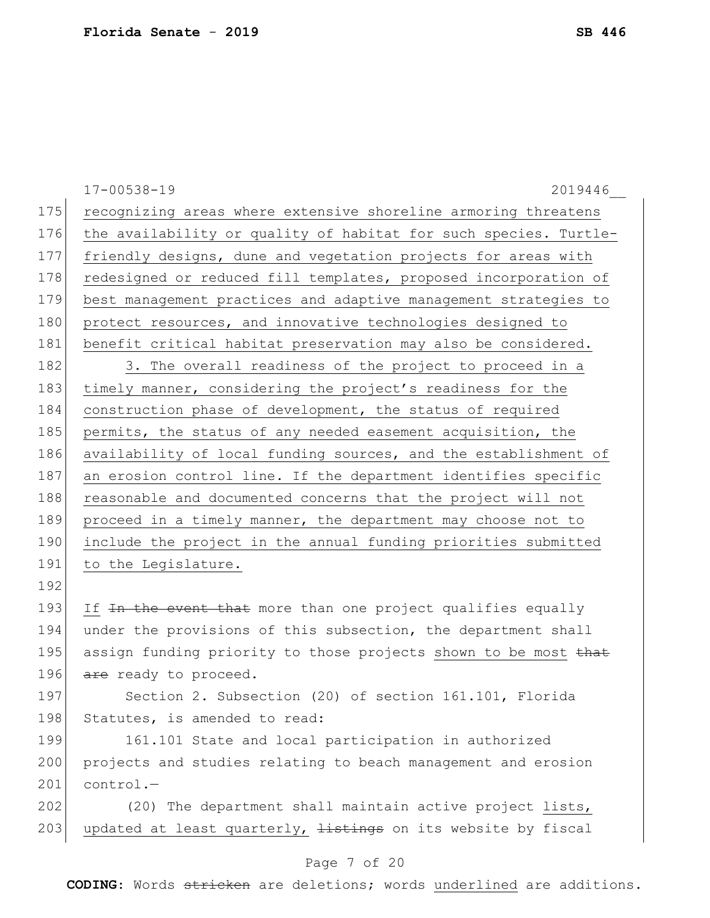|     | $17 - 00538 - 19$<br>2019446                                         |
|-----|----------------------------------------------------------------------|
| 175 | recognizing areas where extensive shoreline armoring threatens       |
| 176 | the availability or quality of habitat for such species. Turtle-     |
| 177 | friendly designs, dune and vegetation projects for areas with        |
| 178 | redesigned or reduced fill templates, proposed incorporation of      |
| 179 | best management practices and adaptive management strategies to      |
| 180 | protect resources, and innovative technologies designed to           |
| 181 | benefit critical habitat preservation may also be considered.        |
| 182 | 3. The overall readiness of the project to proceed in a              |
| 183 | timely manner, considering the project's readiness for the           |
| 184 | construction phase of development, the status of required            |
| 185 | permits, the status of any needed easement acquisition, the          |
| 186 | availability of local funding sources, and the establishment of      |
| 187 | an erosion control line. If the department identifies specific       |
| 188 | reasonable and documented concerns that the project will not         |
| 189 | proceed in a timely manner, the department may choose not to         |
| 190 | include the project in the annual funding priorities submitted       |
| 191 | to the Legislature.                                                  |
| 192 |                                                                      |
| 193 | If In the event that more than one project qualifies equally         |
| 194 | under the provisions of this subsection, the department shall        |
| 195 | assign funding priority to those projects shown to be most that      |
| 196 | are ready to proceed.                                                |
| 197 | Section 2. Subsection (20) of section 161.101, Florida               |
| 198 | Statutes, is amended to read:                                        |
| 199 | 161.101 State and local participation in authorized                  |
| 200 | projects and studies relating to beach management and erosion        |
| 201 | $control. -$                                                         |
| 202 | (20) The department shall maintain active project lists,             |
| 203 | updated at least quarterly, <i>listings</i> on its website by fiscal |

# Page 7 of 20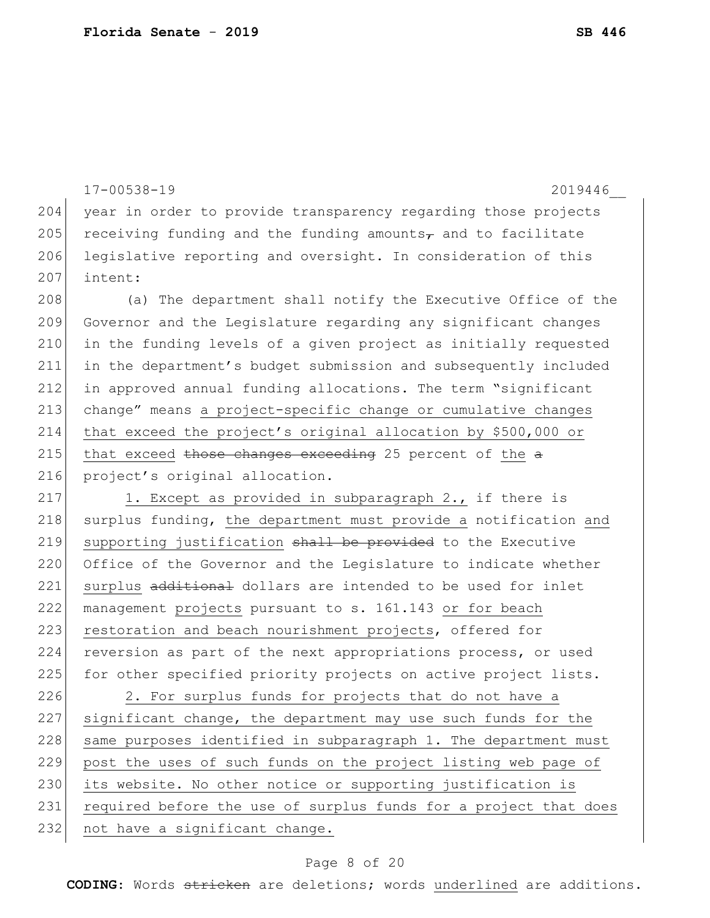```
17-00538-19 2019446__
204 year in order to provide transparency regarding those projects
205 receiving funding and the funding amounts<sub>\tau</sub> and to facilitate
206 legislative reporting and oversight. In consideration of this
207 intent:
208 (a) The department shall notify the Executive Office of the
209 Governor and the Legislature regarding any significant changes 
210 in the funding levels of a given project as initially requested 
211 in the department's budget submission and subsequently included 
212 in approved annual funding allocations. The term "significant 
213 change" means a project-specific change or cumulative changes 
214 that exceed the project's original allocation by $500,000 or 
215 that exceed those changes exceeding 25 percent of the a216 project's original allocation.
217 1. Except as provided in subparagraph 2., if there is
218 surplus funding, the department must provide a notification and
219 supporting justification shall be provided to the Executive
220 Office of the Governor and the Legislature to indicate whether
221 surplus additional dollars are intended to be used for inlet
222 management projects pursuant to s. 161.143 or for beach 
223 restoration and beach nourishment projects, offered for
224 reversion as part of the next appropriations process, or used
225 for other specified priority projects on active project lists.
226 2. For surplus funds for projects that do not have a
227 significant change, the department may use such funds for the 
228 same purposes identified in subparagraph 1. The department must
229 post the uses of such funds on the project listing web page of
230 its website. No other notice or supporting justification is
231 required before the use of surplus funds for a project that does
232 not have a significant change.
```
#### Page 8 of 20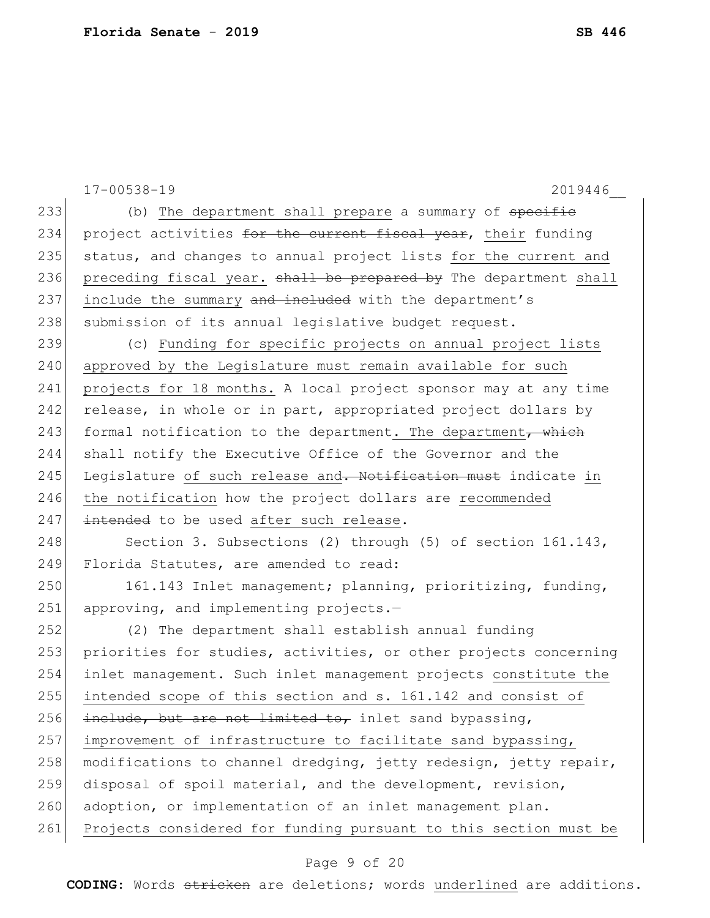|     | $17 - 00538 - 19$<br>2019446                                     |
|-----|------------------------------------------------------------------|
| 233 | (b) The department shall prepare a summary of specific           |
| 234 | project activities for the current fiscal year, their funding    |
| 235 | status, and changes to annual project lists for the current and  |
| 236 | preceding fiscal year. shall be prepared by The department shall |
| 237 | include the summary and included with the department's           |
| 238 | submission of its annual legislative budget request.             |
| 239 | (c) Funding for specific projects on annual project lists        |
| 240 | approved by the Legislature must remain available for such       |
| 241 | projects for 18 months. A local project sponsor may at any time  |
| 242 | release, in whole or in part, appropriated project dollars by    |
| 243 | formal notification to the department. The department, which     |
| 244 | shall notify the Executive Office of the Governor and the        |
| 245 | Legislature of such release and. Notification must indicate in   |
| 246 | the notification how the project dollars are recommended         |
| 247 | intended to be used after such release.                          |
| 248 | Section 3. Subsections (2) through (5) of section 161.143,       |
| 249 | Florida Statutes, are amended to read:                           |
| 250 | 161.143 Inlet management; planning, prioritizing, funding,       |
| 251 | approving, and implementing projects.-                           |
| 252 | (2) The department shall establish annual funding                |
| 253 | priorities for studies, activities, or other projects concerning |
| 254 | inlet management. Such inlet management projects constitute the  |
| 255 | intended scope of this section and s. 161.142 and consist of     |
| 256 | include, but are not limited to, inlet sand bypassing,           |
| 257 | improvement of infrastructure to facilitate sand bypassing,      |
| 258 | modifications to channel dredging, jetty redesign, jetty repair, |
| 259 | disposal of spoil material, and the development, revision,       |
| 260 | adoption, or implementation of an inlet management plan.         |
| 261 | Projects considered for funding pursuant to this section must be |
|     |                                                                  |

# Page 9 of 20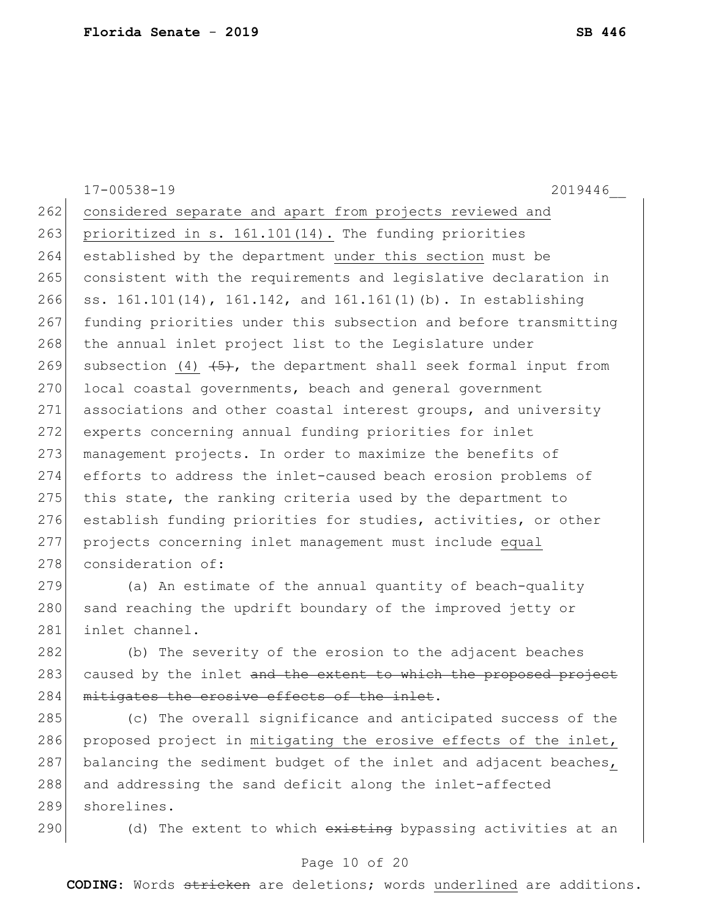|     | $17 - 00538 - 19$<br>2019446                                       |
|-----|--------------------------------------------------------------------|
| 262 | considered separate and apart from projects reviewed and           |
| 263 | prioritized in s. 161.101(14). The funding priorities              |
| 264 | established by the department under this section must be           |
| 265 | consistent with the requirements and legislative declaration in    |
| 266 | ss. 161.101(14), 161.142, and 161.161(1)(b). In establishing       |
| 267 | funding priorities under this subsection and before transmitting   |
| 268 | the annual inlet project list to the Legislature under             |
| 269 | subsection (4) $(5)$ , the department shall seek formal input from |
| 270 | local coastal governments, beach and general government            |
| 271 | associations and other coastal interest groups, and university     |
| 272 | experts concerning annual funding priorities for inlet             |
| 273 | management projects. In order to maximize the benefits of          |
| 274 | efforts to address the inlet-caused beach erosion problems of      |
| 275 | this state, the ranking criteria used by the department to         |
| 276 | establish funding priorities for studies, activities, or other     |
| 277 | projects concerning inlet management must include equal            |
| 278 | consideration of:                                                  |
| 279 | (a) An estimate of the annual quantity of beach-quality            |
| 280 | sand reaching the updrift boundary of the improved jetty or        |
| 281 | inlet channel.                                                     |
| 282 | (b) The severity of the erosion to the adjacent beaches            |
| 283 | caused by the inlet and the extent to which the proposed project   |
| 284 | mitigates the erosive effects of the inlet.                        |
| 285 | (c) The overall significance and anticipated success of the        |
| 286 | proposed project in mitigating the erosive effects of the inlet,   |
| 287 | balancing the sediment budget of the inlet and adjacent beaches,   |
| 288 | and addressing the sand deficit along the inlet-affected           |
| 289 | shorelines.                                                        |

290 (d) The extent to which existing bypassing activities at an

# Page 10 of 20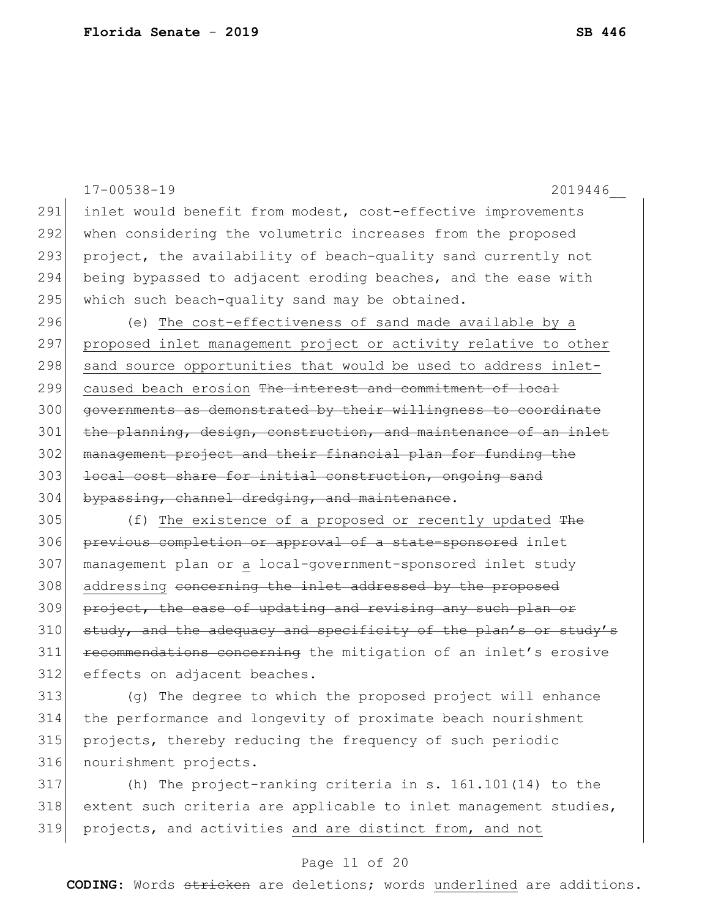|     | $17 - 00538 - 19$<br>2019446                                     |
|-----|------------------------------------------------------------------|
| 291 | inlet would benefit from modest, cost-effective improvements     |
| 292 | when considering the volumetric increases from the proposed      |
| 293 | project, the availability of beach-quality sand currently not    |
| 294 | being bypassed to adjacent eroding beaches, and the ease with    |
| 295 | which such beach-quality sand may be obtained.                   |
| 296 | (e) The cost-effectiveness of sand made available by a           |
| 297 | proposed inlet management project or activity relative to other  |
| 298 | sand source opportunities that would be used to address inlet-   |
| 299 | caused beach erosion The interest and commitment of local        |
| 300 | governments as demonstrated by their willingness to coordinate   |
| 301 | the planning, design, construction, and maintenance of an inlet  |
| 302 | management project and their financial plan for funding the      |
| 303 | local cost share for initial construction, ongoing sand          |
| 304 | bypassing, channel dredging, and maintenance.                    |
| 305 | (f) The existence of a proposed or recently updated The          |
| 306 | previous completion or approval of a state-sponsored inlet       |
| 307 | management plan or a local-government-sponsored inlet study      |
| 308 | addressing concerning the inlet addressed by the proposed        |
| 309 | project, the ease of updating and revising any such plan or      |
| 310 | study, and the adequacy and specificity of the plan's or study's |
| 311 | recommendations concerning the mitigation of an inlet's erosive  |
| 312 | effects on adjacent beaches.                                     |
| 313 | (a) The degree to which the proposed project will ephance        |

 (g) The degree to which the proposed project will enhance the performance and longevity of proximate beach nourishment 315 projects, thereby reducing the frequency of such periodic nourishment projects.

 (h) The project-ranking criteria in s. 161.101(14) to the 318 extent such criteria are applicable to inlet management studies, projects, and activities and are distinct from, and not

#### Page 11 of 20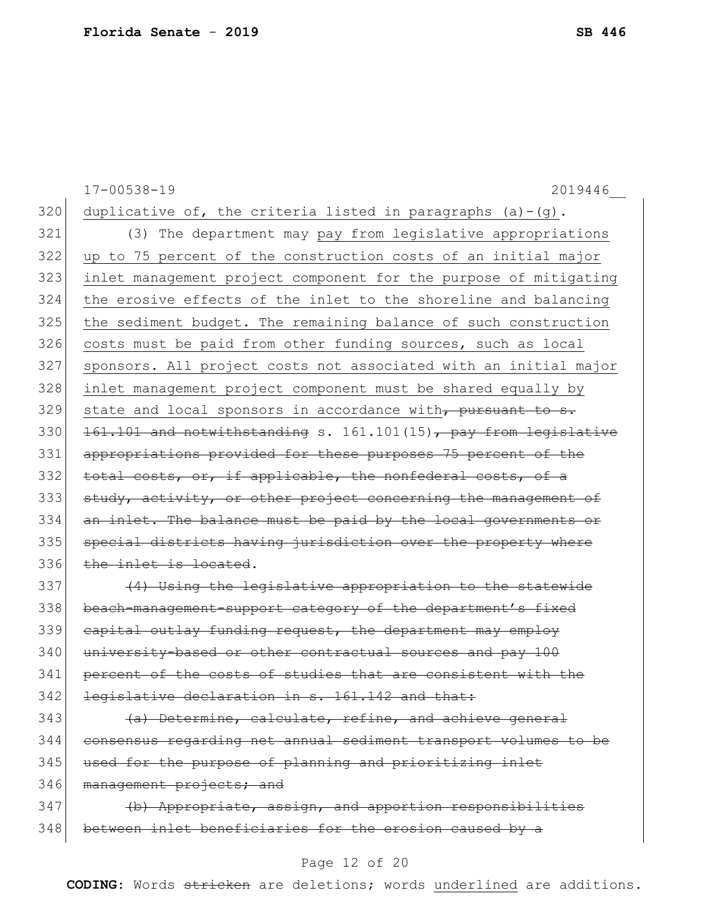17-00538-19 2019446\_\_ 320 duplicative of, the criteria listed in paragraphs (a)-(g). 321 (3) The department may pay from legislative appropriations 322 up to 75 percent of the construction costs of an initial major 323 inlet management project component for the purpose of mitigating 324 the erosive effects of the inlet to the shoreline and balancing 325 | the sediment budget. The remaining balance of such construction 326 costs must be paid from other funding sources, such as local 327 sponsors. All project costs not associated with an initial major 328 inlet management project component must be shared equally by  $329$  state and local sponsors in accordance with, pursuant to s. 330  $\left| \right. \frac{161.101}{161.101} \right.$  and notwithstanding s. 161.101(15), pay from legislative 331 appropriations provided for these purposes 75 percent of the 332 total costs, or, if applicable, the nonfederal costs, of a 333 study, activity, or other project concerning the management of 334 an inlet. The balance must be paid by the local governments or 335 special districts having jurisdiction over the property where 336 the inlet is located.  $337$  (4) Using the legislative appropriation to the statewide 338 beach-management-support category of the department's fixed 339 capital outlay funding request, the department may employ 340 university-based or other contractual sources and pay 100 341 percent of the costs of studies that are consistent with the 342 legislative declaration in s. 161.142 and that:  $343$  (a) Determine, calculate, refine, and achieve general 344 consensus regarding net annual sediment transport volumes to be 345 used for the purpose of planning and prioritizing inlet 346 management projects; and

347 (b) Appropriate, assign, and apportion responsibilities 348 between inlet beneficiaries for the erosion caused by a

#### Page 12 of 20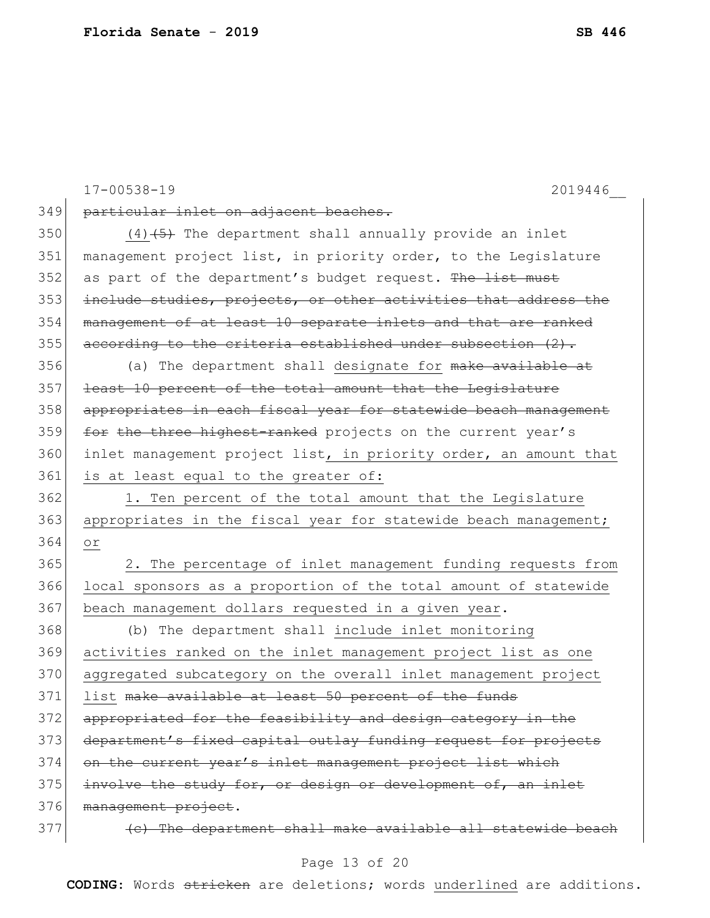|     | $17 - 00538 - 19$<br>2019446                                     |
|-----|------------------------------------------------------------------|
| 349 | particular inlet on adjacent beaches.                            |
| 350 | $(4)$ $(5)$ The department shall annually provide an inlet       |
| 351 | management project list, in priority order, to the Legislature   |
| 352 | as part of the department's budget request. The list must        |
| 353 | include studies, projects, or other activities that address the  |
| 354 | management of at least 10 separate inlets and that are ranked    |
| 355 | according to the criteria established under subsection (2).      |
| 356 | (a) The department shall designate for make available at         |
| 357 | least 10 percent of the total amount that the Legislature        |
| 358 | appropriates in each fiscal year for statewide beach management  |
| 359 | for the three highest-ranked projects on the current year's      |
| 360 | inlet management project list, in priority order, an amount that |
| 361 | is at least equal to the greater of:                             |
| 362 | 1. Ten percent of the total amount that the Legislature          |
| 363 | appropriates in the fiscal year for statewide beach management;  |
| 364 | Оr                                                               |
| 365 | 2. The percentage of inlet management funding requests from      |
| 366 | local sponsors as a proportion of the total amount of statewide  |
| 367 | beach management dollars requested in a given year.              |
| 368 | (b) The department shall include inlet monitoring                |
| 369 | activities ranked on the inlet management project list as one    |
| 370 | aggregated subcategory on the overall inlet management project   |
| 371 | list <del>make available at least 50 percent of the funds</del>  |
| 372 | appropriated for the feasibility and design category in the      |
| 373 | department's fixed capital outlay funding request for projects   |
| 374 | on the current year's inlet management project list which        |
| 375 | involve the study for, or design or development of, an inlet     |
| 376 | management project.                                              |
| 377 | (e) The department shall make available all statewide beach      |

# Page 13 of 20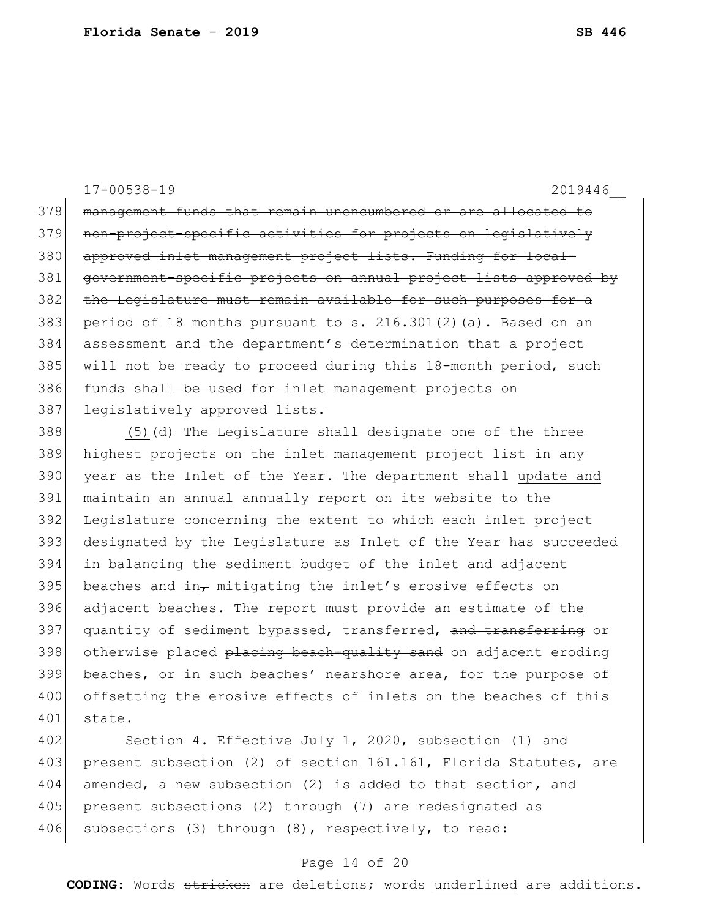17-00538-19 2019446\_\_ 378 management funds that remain unencumbered or are allocated to 379 non-project-specific activities for projects on legislatively 380 approved inlet management project lists. Funding for local-381 government-specific projects on annual project lists approved by 382 the Legislature must remain available for such purposes for a 383 period of 18 months pursuant to s.  $216.301(2)$  (a). Based on an 384 assessment and the department's determination that a project 385 will not be ready to proceed during this 18-month period, such 386 funds shall be used for inlet management projects on 387 legislatively approved lists.  $388$  (5) (d) The Legislature shall designate one of the three 389 highest projects on the inlet management project list in any

390 year as the Inlet of the Year. The department shall update and 391 maintain an annual annually report on its website to the 392 <del>Legislature</del> concerning the extent to which each inlet project 393 designated by the Legislature as Inlet of the Year has succeeded 394 in balancing the sediment budget of the inlet and adjacent 395 beaches and in $_{\tau}$  mitigating the inlet's erosive effects on 396 adjacent beaches. The report must provide an estimate of the 397 quantity of sediment bypassed, transferred, and transferring or 398 otherwise placed placing beach-quality sand on adjacent eroding 399 beaches, or in such beaches' nearshore area, for the purpose of 400 offsetting the erosive effects of inlets on the beaches of this 401 state.

402 Section 4. Effective July 1, 2020, subsection (1) and 403 present subsection (2) of section 161.161, Florida Statutes, are 404 amended, a new subsection (2) is added to that section, and 405 present subsections (2) through (7) are redesignated as 406 subsections (3) through (8), respectively, to read:

#### Page 14 of 20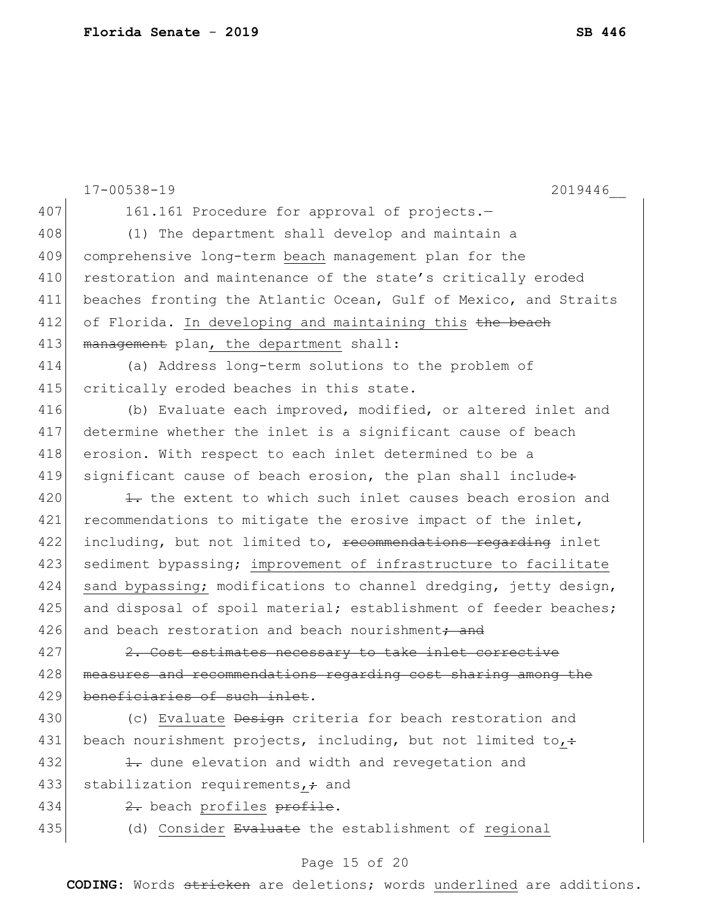|     | $17 - 00538 - 19$<br>2019446                                              |
|-----|---------------------------------------------------------------------------|
| 407 | 161.161 Procedure for approval of projects.-                              |
| 408 | (1) The department shall develop and maintain a                           |
| 409 | comprehensive long-term beach management plan for the                     |
| 410 | restoration and maintenance of the state's critically eroded              |
| 411 | beaches fronting the Atlantic Ocean, Gulf of Mexico, and Straits          |
| 412 | of Florida. In developing and maintaining this the beach                  |
| 413 | management plan, the department shall:                                    |
| 414 | (a) Address long-term solutions to the problem of                         |
| 415 | critically eroded beaches in this state.                                  |
| 416 | (b) Evaluate each improved, modified, or altered inlet and                |
| 417 | determine whether the inlet is a significant cause of beach               |
| 418 | erosion. With respect to each inlet determined to be a                    |
| 419 | significant cause of beach erosion, the plan shall include:               |
| 420 | 1. the extent to which such inlet causes beach erosion and                |
| 421 | recommendations to mitigate the erosive impact of the inlet,              |
| 422 | including, but not limited to, <del>recommendations regarding</del> inlet |
| 423 | sediment bypassing; improvement of infrastructure to facilitate           |
| 424 | sand bypassing; modifications to channel dredging, jetty design,          |
| 425 | and disposal of spoil material; establishment of feeder beaches;          |
| 426 | and beach restoration and beach nourishment <del>; and</del>              |
| 427 | 2. Cost estimates necessary to take inlet corrective                      |
| 428 | measures and recommendations regarding cost sharing among the             |
| 429 | ciaries of such inlet.                                                    |
| 430 | (c) Evaluate Design criteria for beach restoration and                    |
| 431 | beach nourishment projects, including, but not limited to,:               |
| 432 | 1. dune elevation and width and revegetation and                          |
| 433 | stabilization requirements, + and                                         |
| 434 | 2. beach profiles profile.                                                |
| 435 | (d) Consider Evaluate the establishment of regional                       |
|     | Page 15 of 20                                                             |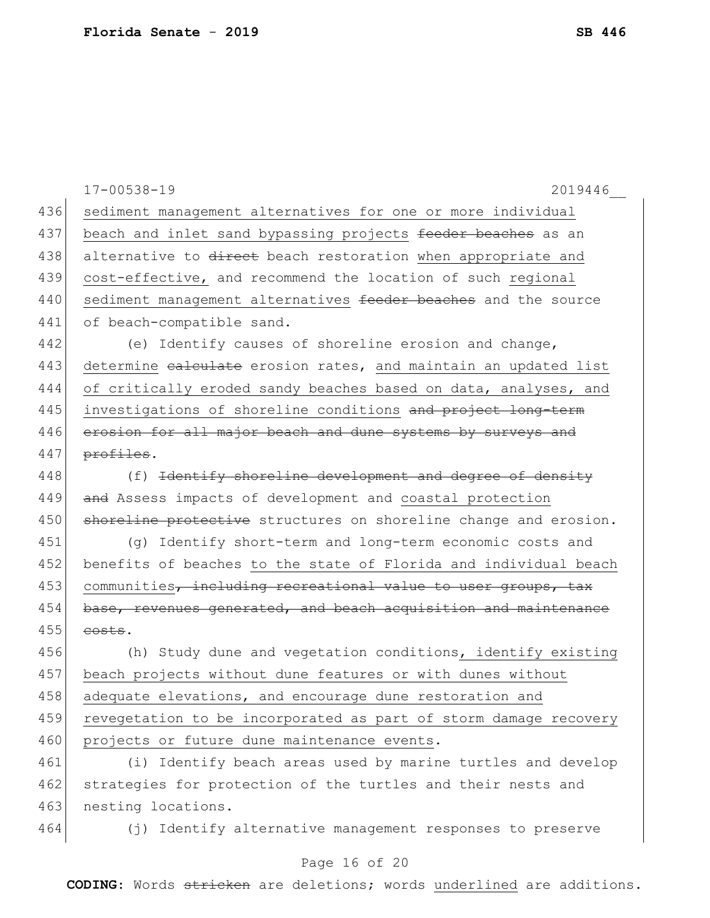|     | $17 - 00538 - 19$<br>2019446                                        |
|-----|---------------------------------------------------------------------|
| 436 | sediment management alternatives for one or more individual         |
| 437 | beach and inlet sand bypassing projects feeder beaches as an        |
| 438 | alternative to direct beach restoration when appropriate and        |
| 439 | cost-effective, and recommend the location of such regional         |
| 440 | sediment management alternatives feeder beaches and the source      |
| 441 | of beach-compatible sand.                                           |
| 442 | (e) Identify causes of shoreline erosion and change,                |
| 443 | determine ealculate erosion rates, and maintain an updated list     |
| 444 | of critically eroded sandy beaches based on data, analyses, and     |
| 445 | investigations of shoreline conditions and project long-term        |
| 446 | erosion for all major beach and dune systems by surveys and         |
| 447 | profiles.                                                           |
| 448 | (f) <del>Identify shoreline development and degree of density</del> |
| 449 | and Assess impacts of development and coastal protection            |
| 450 | shoreline protective structures on shoreline change and erosion.    |
| 451 | (g) Identify short-term and long-term economic costs and            |
| 452 | benefits of beaches to the state of Florida and individual beach    |
| 453 | communities, including recreational value to user groups, tax       |
| 454 | base, revenues generated, and beach acquisition and maintenance     |
| 455 | costs.                                                              |
| 456 | (h) Study dune and vegetation conditions, identify existing         |
| 457 | beach projects without dune features or with dunes without          |
| 458 | adequate elevations, and encourage dune restoration and             |
| 459 | revegetation to be incorporated as part of storm damage recovery    |
| 460 | projects or future dune maintenance events.                         |
| 461 | (i) Identify beach areas used by marine turtles and develop         |
| 462 | strategies for protection of the turtles and their nests and        |
| 463 | nesting locations.                                                  |
| 464 | (j) Identify alternative management responses to preserve           |

# Page 16 of 20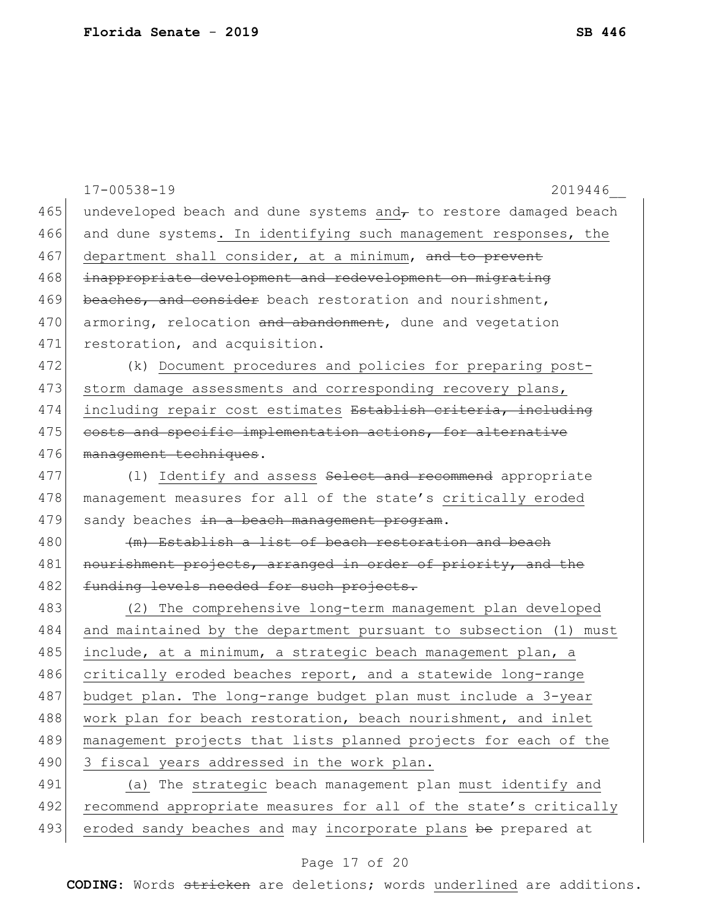|     | $17 - 00538 - 19$<br>2019446                                     |
|-----|------------------------------------------------------------------|
| 465 | undeveloped beach and dune systems and, to restore damaged beach |
| 466 | and dune systems. In identifying such management responses, the  |
| 467 | department shall consider, at a minimum, and to prevent          |
| 468 | inappropriate development and redevelopment on migrating         |
| 469 | beaches, and consider beach restoration and nourishment,         |
| 470 | armoring, relocation and abandonment, dune and vegetation        |
| 471 | restoration, and acquisition.                                    |
| 472 | (k) Document procedures and policies for preparing post-         |
| 473 | storm damage assessments and corresponding recovery plans,       |
| 474 | including repair cost estimates Establish criteria, including    |
| 475 | costs and specific implementation actions, for alternative       |
| 476 | management techniques.                                           |
| 477 | (1) Identify and assess Select and recommend appropriate         |
| 478 | management measures for all of the state's critically eroded     |
| 479 | sandy beaches in a beach management program.                     |
| 480 | (m) Establish a list of beach restoration and beach              |
| 481 | nourishment projects, arranged in order of priority, and the     |
| 482 | funding levels needed for such projects.                         |
| 483 | (2) The comprehensive long-term management plan developed        |
| 484 | and maintained by the department pursuant to subsection (1) must |
| 485 | include, at a minimum, a strategic beach management plan, a      |
| 486 | critically eroded beaches report, and a statewide long-range     |
| 487 | budget plan. The long-range budget plan must include a 3-year    |
| 488 | work plan for beach restoration, beach nourishment, and inlet    |
| 489 | management projects that lists planned projects for each of the  |
| 490 | 3 fiscal years addressed in the work plan.                       |
| 491 | (a) The strategic beach management plan must identify and        |
| 492 | recommend appropriate measures for all of the state's critically |
| 493 | eroded sandy beaches and may incorporate plans be prepared at    |
|     |                                                                  |

# Page 17 of 20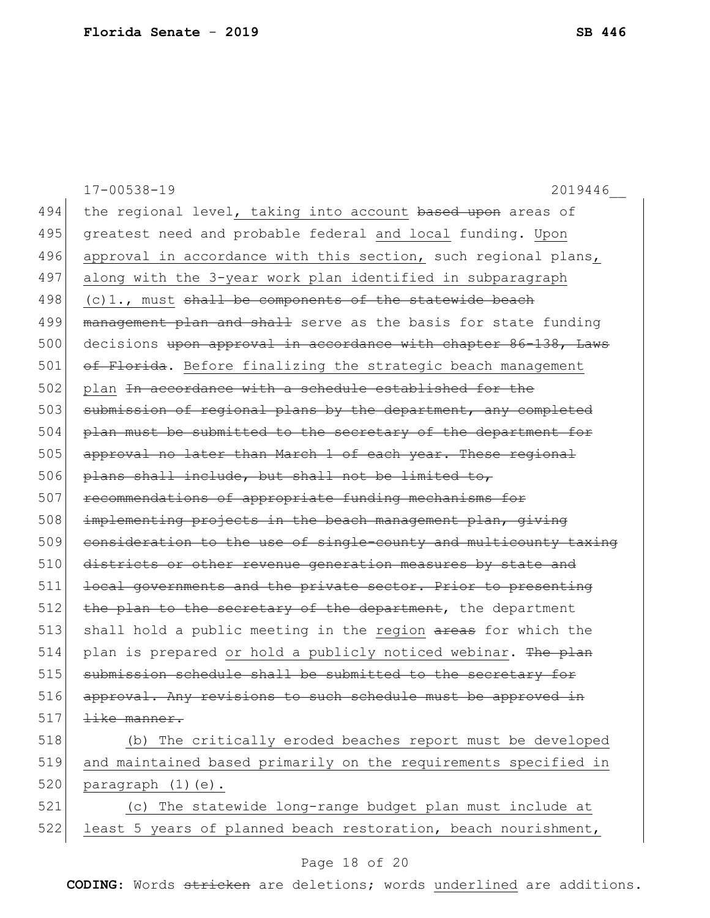|     | $17 - 00538 - 19$<br>2019446                                     |
|-----|------------------------------------------------------------------|
| 494 | the regional level, taking into account based upon areas of      |
| 495 | greatest need and probable federal and local funding. Upon       |
| 496 | approval in accordance with this section, such regional plans,   |
| 497 | along with the 3-year work plan identified in subparagraph       |
| 498 | $(c)$ 1., must shall be components of the statewide beach        |
| 499 | management plan and shall serve as the basis for state funding   |
| 500 | decisions upon approval in accordance with chapter 86-138, Laws  |
| 501 | of Florida. Before finalizing the strategic beach management     |
| 502 | plan In accordance with a schedule established for the           |
| 503 | submission of regional plans by the department, any completed    |
| 504 | plan must be submitted to the secretary of the department for    |
| 505 | approval no later than March 1 of each year. These regional      |
| 506 | plans shall include, but shall not be limited to,                |
| 507 | recommendations of appropriate funding mechanisms for            |
| 508 | implementing projects in the beach management plan, giving       |
| 509 | consideration to the use of single-county and multicounty taxing |
| 510 | districts or other revenue generation measures by state and      |
| 511 | local governments and the private sector. Prior to presenting    |
| 512 | the plan to the secretary of the department, the department      |
| 513 | shall hold a public meeting in the region areas for which the    |
| 514 | plan is prepared or hold a publicly noticed webinar. The plan    |
| 515 | submission schedule shall be submitted to the secretary for      |
| 516 | approval. Any revisions to such schedule must be approved in     |
| 517 | like manner.                                                     |
| 518 | (b) The critically eroded beaches report must be developed       |
| 519 | and maintained based primarily on the requirements specified in  |
| 520 | paragraph (1)(e).                                                |
| 521 | (c) The statewide long-range budget plan must include at         |
| 522 | least 5 years of planned beach restoration, beach nourishment,   |

# Page 18 of 20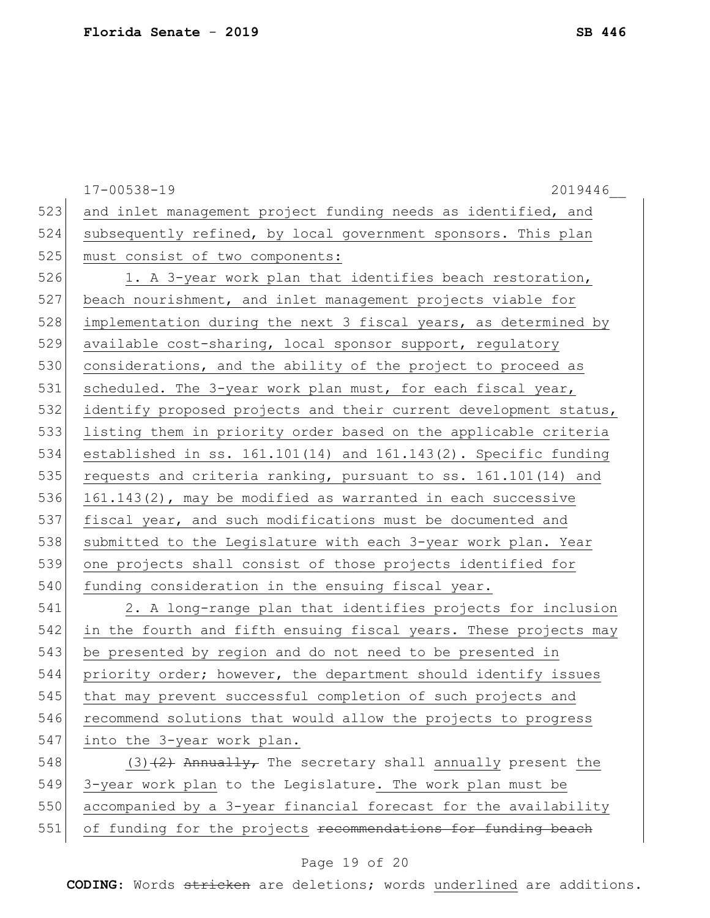|     | $17 - 00538 - 19$<br>2019446                                         |  |  |  |
|-----|----------------------------------------------------------------------|--|--|--|
| 523 | and inlet management project funding needs as identified, and        |  |  |  |
| 524 | subsequently refined, by local government sponsors. This plan        |  |  |  |
| 525 | must consist of two components:                                      |  |  |  |
| 526 | 1. A 3-year work plan that identifies beach restoration,             |  |  |  |
| 527 | beach nourishment, and inlet management projects viable for          |  |  |  |
| 528 | implementation during the next 3 fiscal years, as determined by      |  |  |  |
| 529 | available cost-sharing, local sponsor support, regulatory            |  |  |  |
| 530 | considerations, and the ability of the project to proceed as         |  |  |  |
| 531 | scheduled. The 3-year work plan must, for each fiscal year,          |  |  |  |
| 532 | identify proposed projects and their current development status,     |  |  |  |
| 533 | listing them in priority order based on the applicable criteria      |  |  |  |
| 534 | established in ss. $161.101(14)$ and $161.143(2)$ . Specific funding |  |  |  |
| 535 | requests and criteria ranking, pursuant to ss. 161.101(14) and       |  |  |  |
| 536 | 161.143(2), may be modified as warranted in each successive          |  |  |  |
| 537 | fiscal year, and such modifications must be documented and           |  |  |  |
| 538 | submitted to the Legislature with each 3-year work plan. Year        |  |  |  |
| 539 | one projects shall consist of those projects identified for          |  |  |  |
| 540 | funding consideration in the ensuing fiscal year.                    |  |  |  |
| 541 | 2. A long-range plan that identifies projects for inclusion          |  |  |  |
| 542 | in the fourth and fifth ensuing fiscal years. These projects may     |  |  |  |
| 543 | be presented by region and do not need to be presented in            |  |  |  |
| 544 | priority order; however, the department should identify issues       |  |  |  |
| 545 | that may prevent successful completion of such projects and          |  |  |  |
| 546 | recommend solutions that would allow the projects to progress        |  |  |  |
| 547 | into the 3-year work plan.                                           |  |  |  |
| 548 | $(3)$ $(2)$ Annually, The secretary shall annually present the       |  |  |  |
| 549 | 3-year work plan to the Legislature. The work plan must be           |  |  |  |
| 550 | accompanied by a 3-year financial forecast for the availability      |  |  |  |
| 551 | of funding for the projects recommendations for funding beach        |  |  |  |

# Page 19 of 20